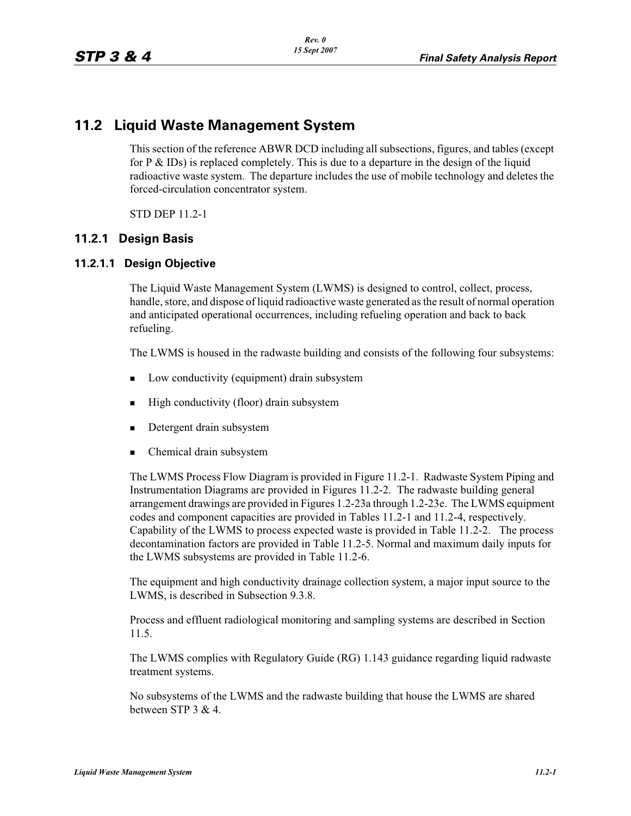# **11.2 Liquid Waste Management System**

This section of the reference ABWR DCD including all subsections, figures, and tables (except for P  $\&$  IDs) is replaced completely. This is due to a departure in the design of the liquid radioactive waste system. The departure includes the use of mobile technology and deletes the forced-circulation concentrator system.

STD DEP 11.2-1

## **11.2.1 Design Basis**

### **11.2.1.1 Design Objective**

The Liquid Waste Management System (LWMS) is designed to control, collect, process, handle, store, and dispose of liquid radioactive waste generated as the result of normal operation and anticipated operational occurrences, including refueling operation and back to back refueling.

The LWMS is housed in the radwaste building and consists of the following four subsystems:

- -Low conductivity (equipment) drain subsystem
- -High conductivity (floor) drain subsystem
- -Detergent drain subsystem
- -Chemical drain subsystem

The LWMS Process Flow Diagram is provided in Figure 11.2-1. Radwaste System Piping and Instrumentation Diagrams are provided in Figures 11.2-2. The radwaste building general arrangement drawings are provided in Figures 1.2-23a through 1.2-23e. The LWMS equipment codes and component capacities are provided in Tables 11.2-1 and 11.2-4, respectively. Capability of the LWMS to process expected waste is provided in Table 11.2-2. The process decontamination factors are provided in Table 11.2-5. Normal and maximum daily inputs for the LWMS subsystems are provided in Table 11.2-6.

The equipment and high conductivity drainage collection system, a major input source to the LWMS, is described in Subsection 9.3.8.

Process and effluent radiological monitoring and sampling systems are described in Section 11.5.

The LWMS complies with Regulatory Guide (RG) 1.143 guidance regarding liquid radwaste treatment systems.

No subsystems of the LWMS and the radwaste building that house the LWMS are shared between STP 3 & 4.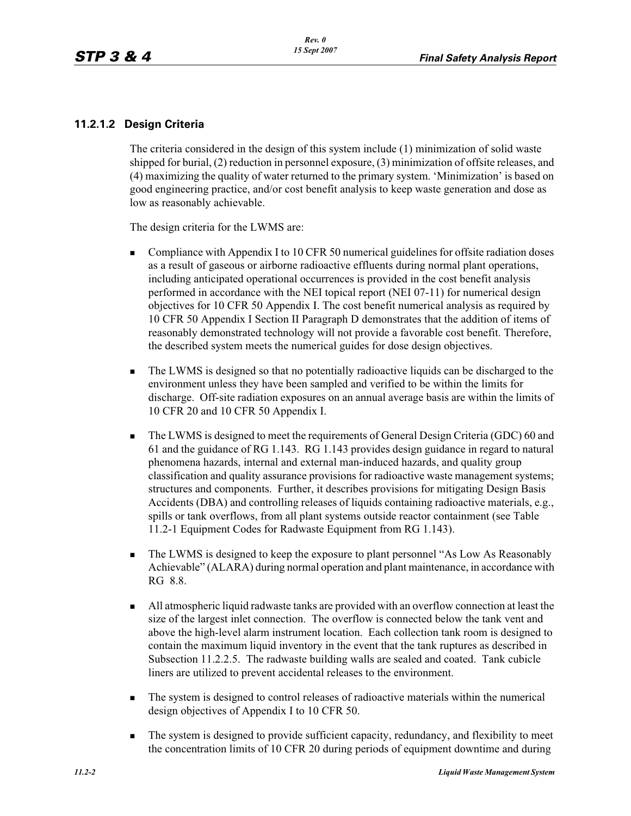### **11.2.1.2 Design Criteria**

The criteria considered in the design of this system include (1) minimization of solid waste shipped for burial, (2) reduction in personnel exposure, (3) minimization of offsite releases, and (4) maximizing the quality of water returned to the primary system. 'Minimization' is based on good engineering practice, and/or cost benefit analysis to keep waste generation and dose as low as reasonably achievable.

The design criteria for the LWMS are:

- - Compliance with Appendix I to 10 CFR 50 numerical guidelines for offsite radiation doses as a result of gaseous or airborne radioactive effluents during normal plant operations, including anticipated operational occurrences is provided in the cost benefit analysis performed in accordance with the NEI topical report (NEI 07-11) for numerical design objectives for 10 CFR 50 Appendix I. The cost benefit numerical analysis as required by 10 CFR 50 Appendix I Section II Paragraph D demonstrates that the addition of items of reasonably demonstrated technology will not provide a favorable cost benefit. Therefore, the described system meets the numerical guides for dose design objectives.
- - The LWMS is designed so that no potentially radioactive liquids can be discharged to the environment unless they have been sampled and verified to be within the limits for discharge. Off-site radiation exposures on an annual average basis are within the limits of 10 CFR 20 and 10 CFR 50 Appendix I.
- - The LWMS is designed to meet the requirements of General Design Criteria (GDC) 60 and 61 and the guidance of RG 1.143. RG 1.143 provides design guidance in regard to natural phenomena hazards, internal and external man-induced hazards, and quality group classification and quality assurance provisions for radioactive waste management systems; structures and components. Further, it describes provisions for mitigating Design Basis Accidents (DBA) and controlling releases of liquids containing radioactive materials, e.g., spills or tank overflows, from all plant systems outside reactor containment (see Table 11.2-1 Equipment Codes for Radwaste Equipment from RG 1.143).
- - The LWMS is designed to keep the exposure to plant personnel "As Low As Reasonably Achievable" (ALARA) during normal operation and plant maintenance, in accordance with RG 8.8.
- - All atmospheric liquid radwaste tanks are provided with an overflow connection at least the size of the largest inlet connection. The overflow is connected below the tank vent and above the high-level alarm instrument location. Each collection tank room is designed to contain the maximum liquid inventory in the event that the tank ruptures as described in Subsection 11.2.2.5. The radwaste building walls are sealed and coated. Tank cubicle liners are utilized to prevent accidental releases to the environment.
- - The system is designed to control releases of radioactive materials within the numerical design objectives of Appendix I to 10 CFR 50.
- - The system is designed to provide sufficient capacity, redundancy, and flexibility to meet the concentration limits of 10 CFR 20 during periods of equipment downtime and during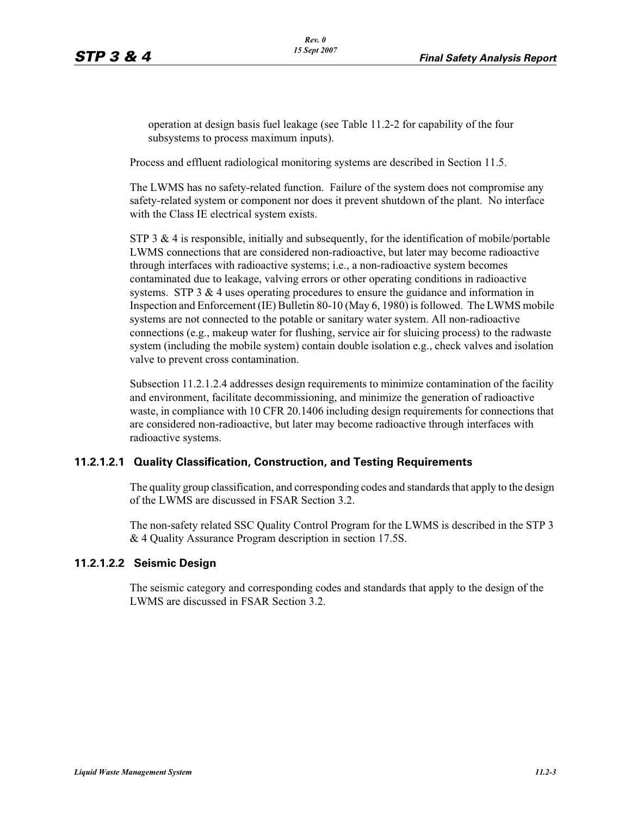operation at design basis fuel leakage (see Table 11.2-2 for capability of the four subsystems to process maximum inputs).

Process and effluent radiological monitoring systems are described in Section 11.5.

The LWMS has no safety-related function. Failure of the system does not compromise any safety-related system or component nor does it prevent shutdown of the plant. No interface with the Class IE electrical system exists.

STP 3  $\&$  4 is responsible, initially and subsequently, for the identification of mobile/portable LWMS connections that are considered non-radioactive, but later may become radioactive through interfaces with radioactive systems; i.e., a non-radioactive system becomes contaminated due to leakage, valving errors or other operating conditions in radioactive systems. STP  $3 \& 4$  uses operating procedures to ensure the guidance and information in Inspection and Enforcement (IE) Bulletin 80-10 (May 6, 1980) is followed. The LWMS mobile systems are not connected to the potable or sanitary water system. All non-radioactive connections (e.g., makeup water for flushing, service air for sluicing process) to the radwaste system (including the mobile system) contain double isolation e.g., check valves and isolation valve to prevent cross contamination.

Subsection 11.2.1.2.4 addresses design requirements to minimize contamination of the facility and environment, facilitate decommissioning, and minimize the generation of radioactive waste, in compliance with 10 CFR 20.1406 including design requirements for connections that are considered non-radioactive, but later may become radioactive through interfaces with radioactive systems.

#### **11.2.1.2.1 Quality Classification, Construction, and Testing Requirements**

The quality group classification, and corresponding codes and standards that apply to the design of the LWMS are discussed in FSAR Section 3.2.

The non-safety related SSC Quality Control Program for the LWMS is described in the STP 3 & 4 Quality Assurance Program description in section 17.5S.

#### **11.2.1.2.2 Seismic Design**

The seismic category and corresponding codes and standards that apply to the design of the LWMS are discussed in FSAR Section 3.2.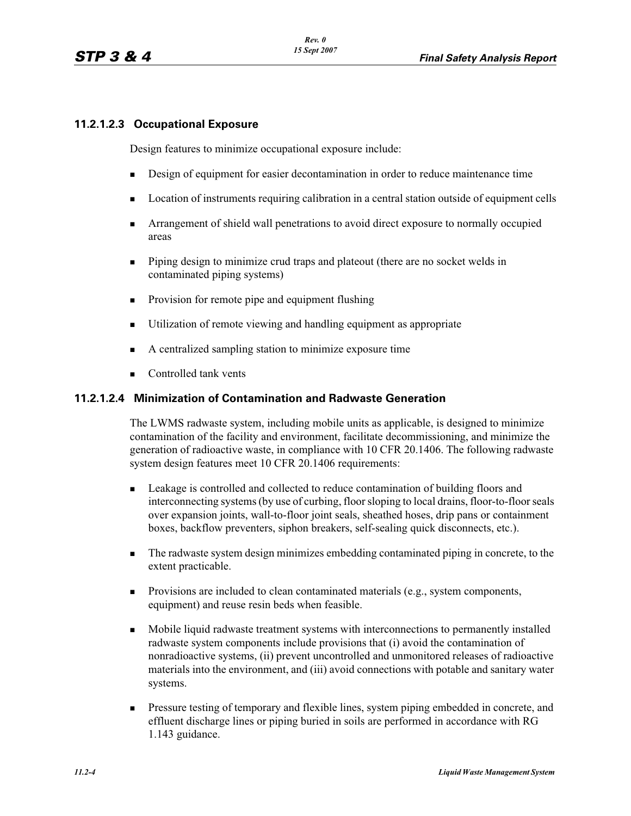### **11.2.1.2.3 Occupational Exposure**

Design features to minimize occupational exposure include:

- -Design of equipment for easier decontamination in order to reduce maintenance time
- -Location of instruments requiring calibration in a central station outside of equipment cells
- - Arrangement of shield wall penetrations to avoid direct exposure to normally occupied areas
- - Piping design to minimize crud traps and plateout (there are no socket welds in contaminated piping systems)
- -Provision for remote pipe and equipment flushing
- -Utilization of remote viewing and handling equipment as appropriate
- -A centralized sampling station to minimize exposure time
- -Controlled tank vents

#### **11.2.1.2.4 Minimization of Contamination and Radwaste Generation**

The LWMS radwaste system, including mobile units as applicable, is designed to minimize contamination of the facility and environment, facilitate decommissioning, and minimize the generation of radioactive waste, in compliance with 10 CFR 20.1406. The following radwaste system design features meet 10 CFR 20.1406 requirements:

- - Leakage is controlled and collected to reduce contamination of building floors and interconnecting systems (by use of curbing, floor sloping to local drains, floor-to-floor seals over expansion joints, wall-to-floor joint seals, sheathed hoses, drip pans or containment boxes, backflow preventers, siphon breakers, self-sealing quick disconnects, etc.).
- - The radwaste system design minimizes embedding contaminated piping in concrete, to the extent practicable.
- - Provisions are included to clean contaminated materials (e.g., system components, equipment) and reuse resin beds when feasible.
- - Mobile liquid radwaste treatment systems with interconnections to permanently installed radwaste system components include provisions that (i) avoid the contamination of nonradioactive systems, (ii) prevent uncontrolled and unmonitored releases of radioactive materials into the environment, and (iii) avoid connections with potable and sanitary water systems.
- - Pressure testing of temporary and flexible lines, system piping embedded in concrete, and effluent discharge lines or piping buried in soils are performed in accordance with RG 1.143 guidance.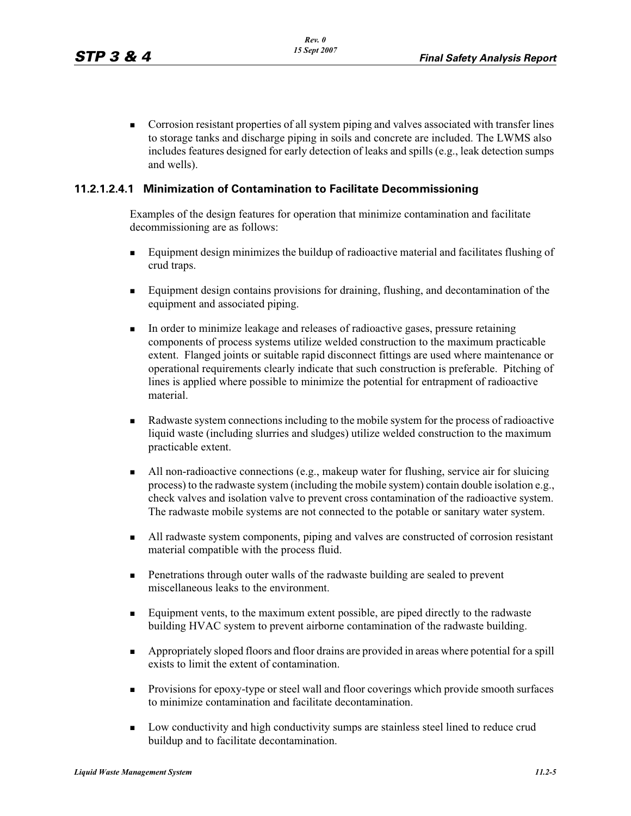**Corrosion resistant properties of all system piping and valves associated with transfer lines** to storage tanks and discharge piping in soils and concrete are included. The LWMS also includes features designed for early detection of leaks and spills (e.g., leak detection sumps and wells).

#### **11.2.1.2.4.1 Minimization of Contamination to Facilitate Decommissioning**

Examples of the design features for operation that minimize contamination and facilitate decommissioning are as follows:

- - Equipment design minimizes the buildup of radioactive material and facilitates flushing of crud traps.
- - Equipment design contains provisions for draining, flushing, and decontamination of the equipment and associated piping.
- - In order to minimize leakage and releases of radioactive gases, pressure retaining components of process systems utilize welded construction to the maximum practicable extent. Flanged joints or suitable rapid disconnect fittings are used where maintenance or operational requirements clearly indicate that such construction is preferable. Pitching of lines is applied where possible to minimize the potential for entrapment of radioactive material.
- - Radwaste system connections including to the mobile system for the process of radioactive liquid waste (including slurries and sludges) utilize welded construction to the maximum practicable extent.
- - All non-radioactive connections (e.g., makeup water for flushing, service air for sluicing process) to the radwaste system (including the mobile system) contain double isolation e.g., check valves and isolation valve to prevent cross contamination of the radioactive system. The radwaste mobile systems are not connected to the potable or sanitary water system.
- - All radwaste system components, piping and valves are constructed of corrosion resistant material compatible with the process fluid.
- - Penetrations through outer walls of the radwaste building are sealed to prevent miscellaneous leaks to the environment.
- - Equipment vents, to the maximum extent possible, are piped directly to the radwaste building HVAC system to prevent airborne contamination of the radwaste building.
- Appropriately sloped floors and floor drains are provided in areas where potential for a spill exists to limit the extent of contamination.
- Provisions for epoxy-type or steel wall and floor coverings which provide smooth surfaces to minimize contamination and facilitate decontamination.
- - Low conductivity and high conductivity sumps are stainless steel lined to reduce crud buildup and to facilitate decontamination.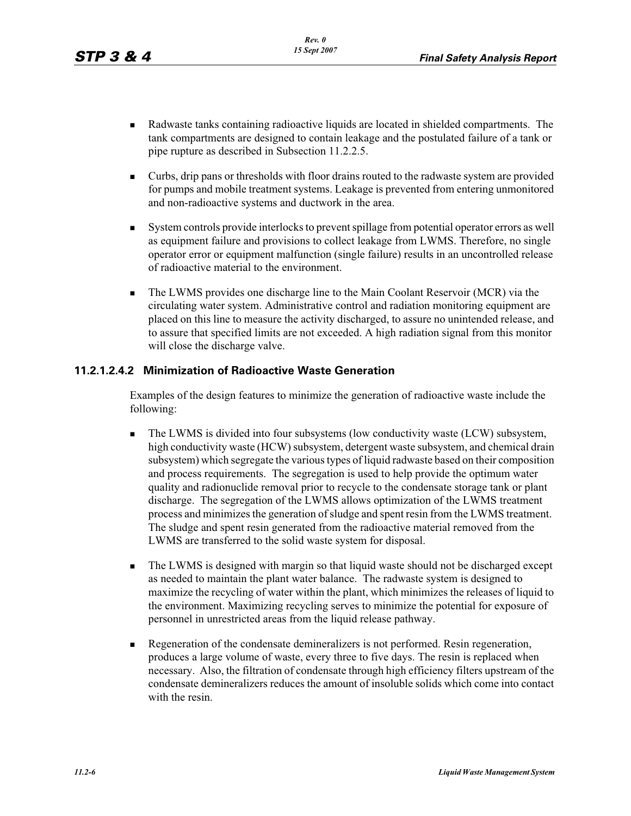- - Radwaste tanks containing radioactive liquids are located in shielded compartments. The tank compartments are designed to contain leakage and the postulated failure of a tank or pipe rupture as described in Subsection 11.2.2.5.
- - Curbs, drip pans or thresholds with floor drains routed to the radwaste system are provided for pumps and mobile treatment systems. Leakage is prevented from entering unmonitored and non-radioactive systems and ductwork in the area.
- - System controls provide interlocks to prevent spillage from potential operator errors as well as equipment failure and provisions to collect leakage from LWMS. Therefore, no single operator error or equipment malfunction (single failure) results in an uncontrolled release of radioactive material to the environment.
- - The LWMS provides one discharge line to the Main Coolant Reservoir (MCR) via the circulating water system. Administrative control and radiation monitoring equipment are placed on this line to measure the activity discharged, to assure no unintended release, and to assure that specified limits are not exceeded. A high radiation signal from this monitor will close the discharge valve.

### **11.2.1.2.4.2 Minimization of Radioactive Waste Generation**

Examples of the design features to minimize the generation of radioactive waste include the following:

- - The LWMS is divided into four subsystems (low conductivity waste (LCW) subsystem, high conductivity waste (HCW) subsystem, detergent waste subsystem, and chemical drain subsystem) which segregate the various types of liquid radwaste based on their composition and process requirements. The segregation is used to help provide the optimum water quality and radionuclide removal prior to recycle to the condensate storage tank or plant discharge. The segregation of the LWMS allows optimization of the LWMS treatment process and minimizes the generation of sludge and spent resin from the LWMS treatment. The sludge and spent resin generated from the radioactive material removed from the LWMS are transferred to the solid waste system for disposal.
- - The LWMS is designed with margin so that liquid waste should not be discharged except as needed to maintain the plant water balance. The radwaste system is designed to maximize the recycling of water within the plant, which minimizes the releases of liquid to the environment. Maximizing recycling serves to minimize the potential for exposure of personnel in unrestricted areas from the liquid release pathway.
- - Regeneration of the condensate demineralizers is not performed. Resin regeneration, produces a large volume of waste, every three to five days. The resin is replaced when necessary. Also, the filtration of condensate through high efficiency filters upstream of the condensate demineralizers reduces the amount of insoluble solids which come into contact with the resin.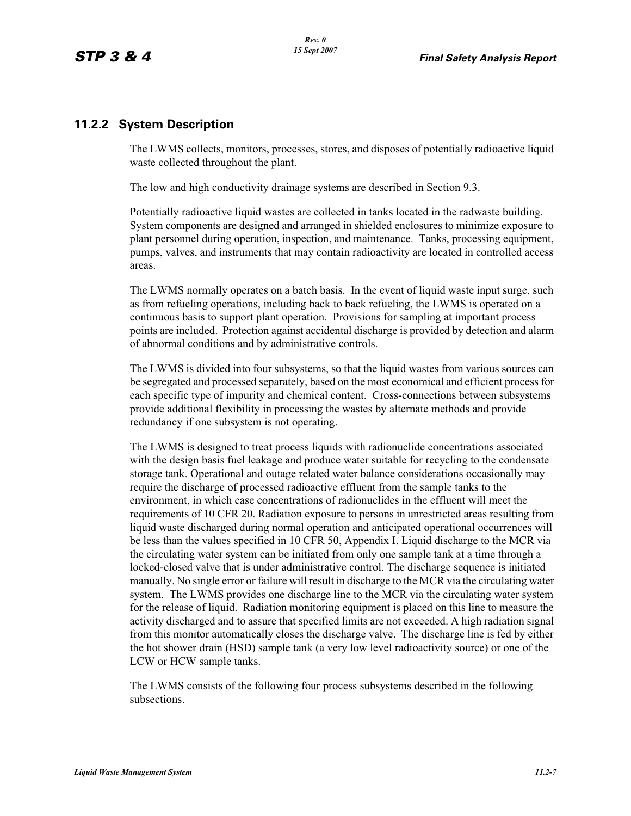## **11.2.2 System Description**

The LWMS collects, monitors, processes, stores, and disposes of potentially radioactive liquid waste collected throughout the plant.

The low and high conductivity drainage systems are described in Section 9.3.

Potentially radioactive liquid wastes are collected in tanks located in the radwaste building. System components are designed and arranged in shielded enclosures to minimize exposure to plant personnel during operation, inspection, and maintenance. Tanks, processing equipment, pumps, valves, and instruments that may contain radioactivity are located in controlled access areas.

The LWMS normally operates on a batch basis. In the event of liquid waste input surge, such as from refueling operations, including back to back refueling, the LWMS is operated on a continuous basis to support plant operation. Provisions for sampling at important process points are included. Protection against accidental discharge is provided by detection and alarm of abnormal conditions and by administrative controls.

The LWMS is divided into four subsystems, so that the liquid wastes from various sources can be segregated and processed separately, based on the most economical and efficient process for each specific type of impurity and chemical content. Cross-connections between subsystems provide additional flexibility in processing the wastes by alternate methods and provide redundancy if one subsystem is not operating.

The LWMS is designed to treat process liquids with radionuclide concentrations associated with the design basis fuel leakage and produce water suitable for recycling to the condensate storage tank. Operational and outage related water balance considerations occasionally may require the discharge of processed radioactive effluent from the sample tanks to the environment, in which case concentrations of radionuclides in the effluent will meet the requirements of 10 CFR 20. Radiation exposure to persons in unrestricted areas resulting from liquid waste discharged during normal operation and anticipated operational occurrences will be less than the values specified in 10 CFR 50, Appendix I. Liquid discharge to the MCR via the circulating water system can be initiated from only one sample tank at a time through a locked-closed valve that is under administrative control. The discharge sequence is initiated manually. No single error or failure will result in discharge to the MCR via the circulating water system. The LWMS provides one discharge line to the MCR via the circulating water system for the release of liquid. Radiation monitoring equipment is placed on this line to measure the activity discharged and to assure that specified limits are not exceeded. A high radiation signal from this monitor automatically closes the discharge valve. The discharge line is fed by either the hot shower drain (HSD) sample tank (a very low level radioactivity source) or one of the LCW or HCW sample tanks.

The LWMS consists of the following four process subsystems described in the following subsections.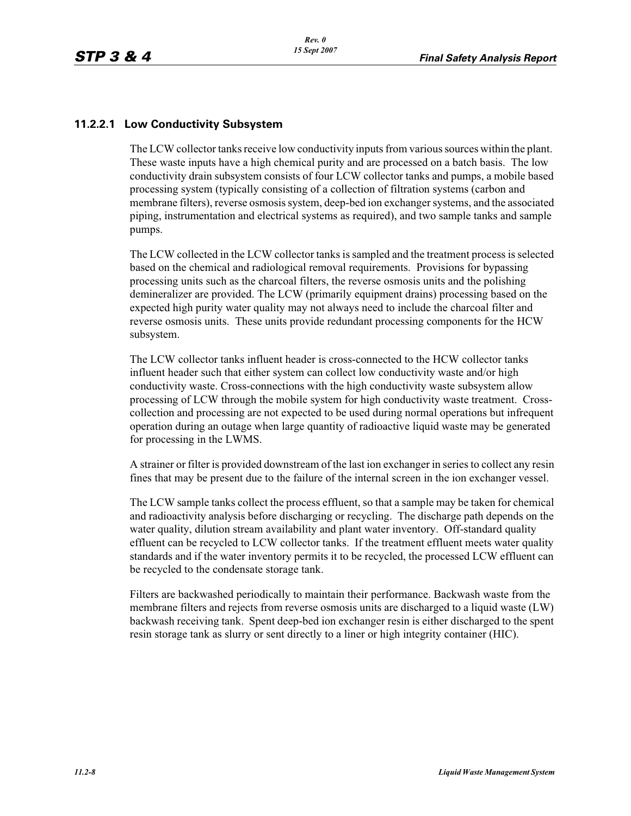### **11.2.2.1 Low Conductivity Subsystem**

The LCW collector tanks receive low conductivity inputs from various sources within the plant. These waste inputs have a high chemical purity and are processed on a batch basis. The low conductivity drain subsystem consists of four LCW collector tanks and pumps, a mobile based processing system (typically consisting of a collection of filtration systems (carbon and membrane filters), reverse osmosis system, deep-bed ion exchanger systems, and the associated piping, instrumentation and electrical systems as required), and two sample tanks and sample pumps.

The LCW collected in the LCW collector tanks is sampled and the treatment process is selected based on the chemical and radiological removal requirements. Provisions for bypassing processing units such as the charcoal filters, the reverse osmosis units and the polishing demineralizer are provided. The LCW (primarily equipment drains) processing based on the expected high purity water quality may not always need to include the charcoal filter and reverse osmosis units. These units provide redundant processing components for the HCW subsystem.

The LCW collector tanks influent header is cross-connected to the HCW collector tanks influent header such that either system can collect low conductivity waste and/or high conductivity waste. Cross-connections with the high conductivity waste subsystem allow processing of LCW through the mobile system for high conductivity waste treatment. Crosscollection and processing are not expected to be used during normal operations but infrequent operation during an outage when large quantity of radioactive liquid waste may be generated for processing in the LWMS.

A strainer or filter is provided downstream of the last ion exchanger in series to collect any resin fines that may be present due to the failure of the internal screen in the ion exchanger vessel.

The LCW sample tanks collect the process effluent, so that a sample may be taken for chemical and radioactivity analysis before discharging or recycling. The discharge path depends on the water quality, dilution stream availability and plant water inventory. Off-standard quality effluent can be recycled to LCW collector tanks. If the treatment effluent meets water quality standards and if the water inventory permits it to be recycled, the processed LCW effluent can be recycled to the condensate storage tank.

Filters are backwashed periodically to maintain their performance. Backwash waste from the membrane filters and rejects from reverse osmosis units are discharged to a liquid waste (LW) backwash receiving tank. Spent deep-bed ion exchanger resin is either discharged to the spent resin storage tank as slurry or sent directly to a liner or high integrity container (HIC).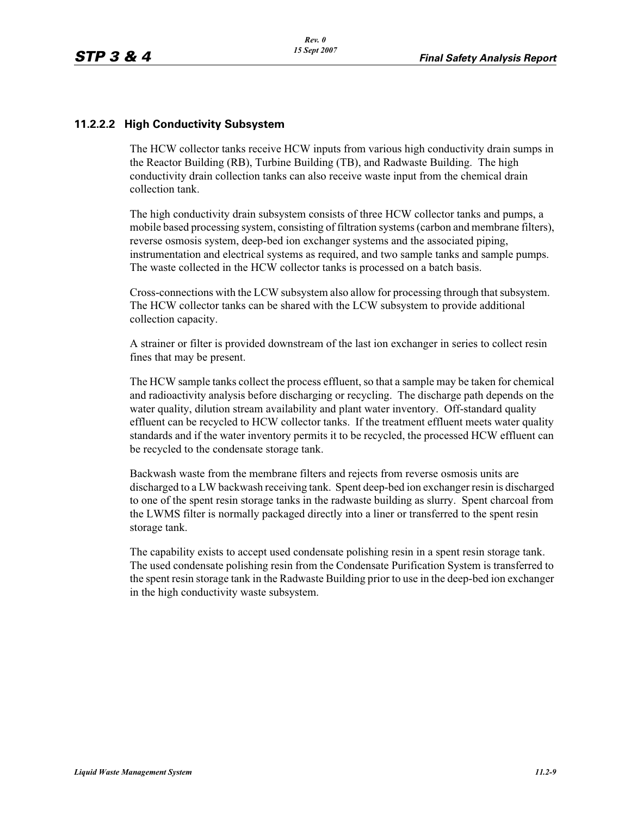#### **11.2.2.2 High Conductivity Subsystem**

The HCW collector tanks receive HCW inputs from various high conductivity drain sumps in the Reactor Building (RB), Turbine Building (TB), and Radwaste Building. The high conductivity drain collection tanks can also receive waste input from the chemical drain collection tank.

The high conductivity drain subsystem consists of three HCW collector tanks and pumps, a mobile based processing system, consisting of filtration systems (carbon and membrane filters), reverse osmosis system, deep-bed ion exchanger systems and the associated piping, instrumentation and electrical systems as required, and two sample tanks and sample pumps. The waste collected in the HCW collector tanks is processed on a batch basis.

Cross-connections with the LCW subsystem also allow for processing through that subsystem. The HCW collector tanks can be shared with the LCW subsystem to provide additional collection capacity.

A strainer or filter is provided downstream of the last ion exchanger in series to collect resin fines that may be present.

The HCW sample tanks collect the process effluent, so that a sample may be taken for chemical and radioactivity analysis before discharging or recycling. The discharge path depends on the water quality, dilution stream availability and plant water inventory. Off-standard quality effluent can be recycled to HCW collector tanks. If the treatment effluent meets water quality standards and if the water inventory permits it to be recycled, the processed HCW effluent can be recycled to the condensate storage tank.

Backwash waste from the membrane filters and rejects from reverse osmosis units are discharged to a LW backwash receiving tank. Spent deep-bed ion exchanger resin is discharged to one of the spent resin storage tanks in the radwaste building as slurry. Spent charcoal from the LWMS filter is normally packaged directly into a liner or transferred to the spent resin storage tank.

The capability exists to accept used condensate polishing resin in a spent resin storage tank. The used condensate polishing resin from the Condensate Purification System is transferred to the spent resin storage tank in the Radwaste Building prior to use in the deep-bed ion exchanger in the high conductivity waste subsystem.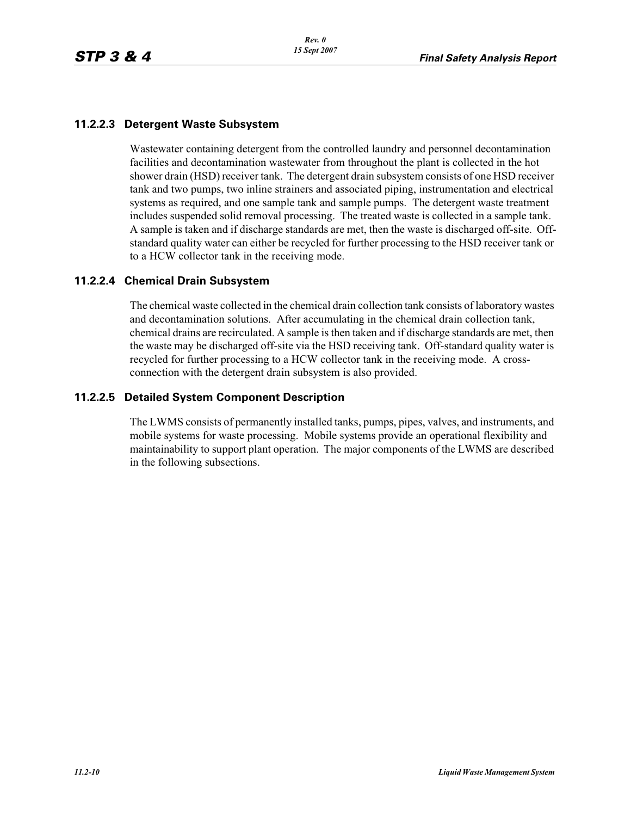### **11.2.2.3 Detergent Waste Subsystem**

Wastewater containing detergent from the controlled laundry and personnel decontamination facilities and decontamination wastewater from throughout the plant is collected in the hot shower drain (HSD) receiver tank. The detergent drain subsystem consists of one HSD receiver tank and two pumps, two inline strainers and associated piping, instrumentation and electrical systems as required, and one sample tank and sample pumps. The detergent waste treatment includes suspended solid removal processing. The treated waste is collected in a sample tank. A sample is taken and if discharge standards are met, then the waste is discharged off-site. Offstandard quality water can either be recycled for further processing to the HSD receiver tank or to a HCW collector tank in the receiving mode.

#### **11.2.2.4 Chemical Drain Subsystem**

The chemical waste collected in the chemical drain collection tank consists of laboratory wastes and decontamination solutions. After accumulating in the chemical drain collection tank, chemical drains are recirculated. A sample is then taken and if discharge standards are met, then the waste may be discharged off-site via the HSD receiving tank. Off-standard quality water is recycled for further processing to a HCW collector tank in the receiving mode. A crossconnection with the detergent drain subsystem is also provided.

#### **11.2.2.5 Detailed System Component Description**

The LWMS consists of permanently installed tanks, pumps, pipes, valves, and instruments, and mobile systems for waste processing. Mobile systems provide an operational flexibility and maintainability to support plant operation. The major components of the LWMS are described in the following subsections.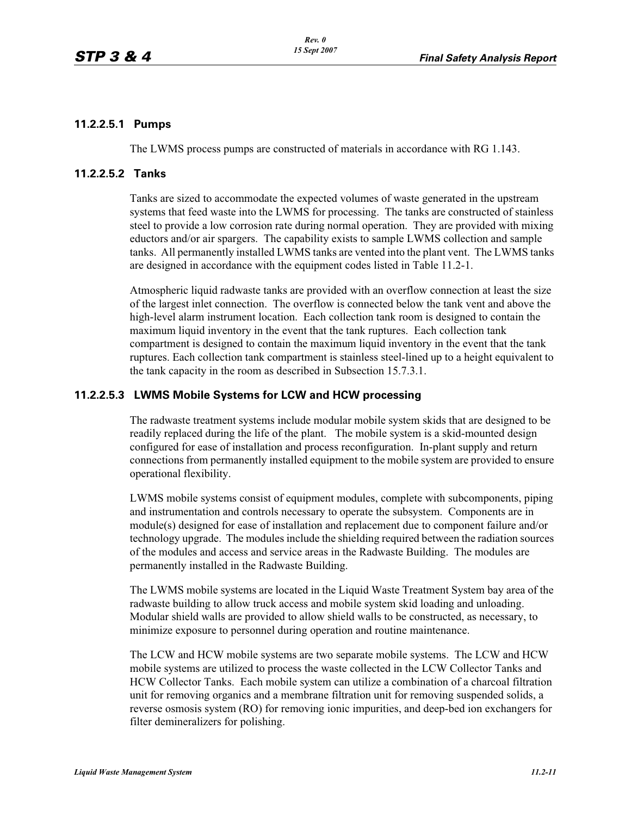#### **11.2.2.5.1 Pumps**

The LWMS process pumps are constructed of materials in accordance with RG 1.143.

#### **11.2.2.5.2 Tanks**

Tanks are sized to accommodate the expected volumes of waste generated in the upstream systems that feed waste into the LWMS for processing. The tanks are constructed of stainless steel to provide a low corrosion rate during normal operation. They are provided with mixing eductors and/or air spargers. The capability exists to sample LWMS collection and sample tanks. All permanently installed LWMS tanks are vented into the plant vent. The LWMS tanks are designed in accordance with the equipment codes listed in Table 11.2-1.

Atmospheric liquid radwaste tanks are provided with an overflow connection at least the size of the largest inlet connection. The overflow is connected below the tank vent and above the high-level alarm instrument location. Each collection tank room is designed to contain the maximum liquid inventory in the event that the tank ruptures. Each collection tank compartment is designed to contain the maximum liquid inventory in the event that the tank ruptures. Each collection tank compartment is stainless steel-lined up to a height equivalent to the tank capacity in the room as described in Subsection 15.7.3.1.

#### **11.2.2.5.3 LWMS Mobile Systems for LCW and HCW processing**

The radwaste treatment systems include modular mobile system skids that are designed to be readily replaced during the life of the plant. The mobile system is a skid-mounted design configured for ease of installation and process reconfiguration. In-plant supply and return connections from permanently installed equipment to the mobile system are provided to ensure operational flexibility.

LWMS mobile systems consist of equipment modules, complete with subcomponents, piping and instrumentation and controls necessary to operate the subsystem. Components are in module(s) designed for ease of installation and replacement due to component failure and/or technology upgrade. The modules include the shielding required between the radiation sources of the modules and access and service areas in the Radwaste Building. The modules are permanently installed in the Radwaste Building.

The LWMS mobile systems are located in the Liquid Waste Treatment System bay area of the radwaste building to allow truck access and mobile system skid loading and unloading. Modular shield walls are provided to allow shield walls to be constructed, as necessary, to minimize exposure to personnel during operation and routine maintenance.

The LCW and HCW mobile systems are two separate mobile systems. The LCW and HCW mobile systems are utilized to process the waste collected in the LCW Collector Tanks and HCW Collector Tanks. Each mobile system can utilize a combination of a charcoal filtration unit for removing organics and a membrane filtration unit for removing suspended solids, a reverse osmosis system (RO) for removing ionic impurities, and deep-bed ion exchangers for filter demineralizers for polishing.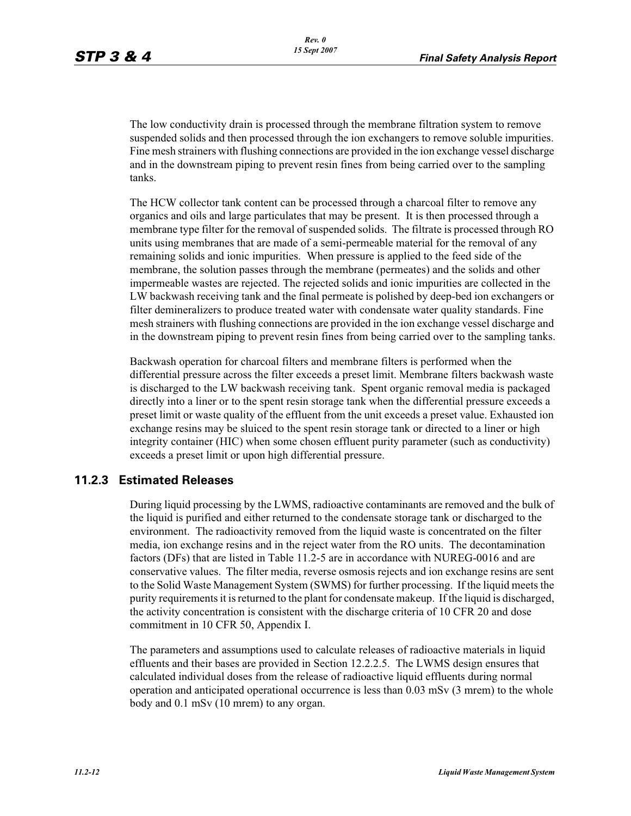The low conductivity drain is processed through the membrane filtration system to remove suspended solids and then processed through the ion exchangers to remove soluble impurities. Fine mesh strainers with flushing connections are provided in the ion exchange vessel discharge and in the downstream piping to prevent resin fines from being carried over to the sampling tanks.

The HCW collector tank content can be processed through a charcoal filter to remove any organics and oils and large particulates that may be present. It is then processed through a membrane type filter for the removal of suspended solids. The filtrate is processed through RO units using membranes that are made of a semi-permeable material for the removal of any remaining solids and ionic impurities. When pressure is applied to the feed side of the membrane, the solution passes through the membrane (permeates) and the solids and other impermeable wastes are rejected. The rejected solids and ionic impurities are collected in the LW backwash receiving tank and the final permeate is polished by deep-bed ion exchangers or filter demineralizers to produce treated water with condensate water quality standards. Fine mesh strainers with flushing connections are provided in the ion exchange vessel discharge and in the downstream piping to prevent resin fines from being carried over to the sampling tanks.

Backwash operation for charcoal filters and membrane filters is performed when the differential pressure across the filter exceeds a preset limit. Membrane filters backwash waste is discharged to the LW backwash receiving tank. Spent organic removal media is packaged directly into a liner or to the spent resin storage tank when the differential pressure exceeds a preset limit or waste quality of the effluent from the unit exceeds a preset value. Exhausted ion exchange resins may be sluiced to the spent resin storage tank or directed to a liner or high integrity container (HIC) when some chosen effluent purity parameter (such as conductivity) exceeds a preset limit or upon high differential pressure.

### **11.2.3 Estimated Releases**

During liquid processing by the LWMS, radioactive contaminants are removed and the bulk of the liquid is purified and either returned to the condensate storage tank or discharged to the environment. The radioactivity removed from the liquid waste is concentrated on the filter media, ion exchange resins and in the reject water from the RO units. The decontamination factors (DFs) that are listed in Table 11.2-5 are in accordance with NUREG-0016 and are conservative values. The filter media, reverse osmosis rejects and ion exchange resins are sent to the Solid Waste Management System (SWMS) for further processing. If the liquid meets the purity requirements it is returned to the plant for condensate makeup. If the liquid is discharged, the activity concentration is consistent with the discharge criteria of 10 CFR 20 and dose commitment in 10 CFR 50, Appendix I.

The parameters and assumptions used to calculate releases of radioactive materials in liquid effluents and their bases are provided in Section 12.2.2.5. The LWMS design ensures that calculated individual doses from the release of radioactive liquid effluents during normal operation and anticipated operational occurrence is less than 0.03 mSv (3 mrem) to the whole body and 0.1 mSv (10 mrem) to any organ.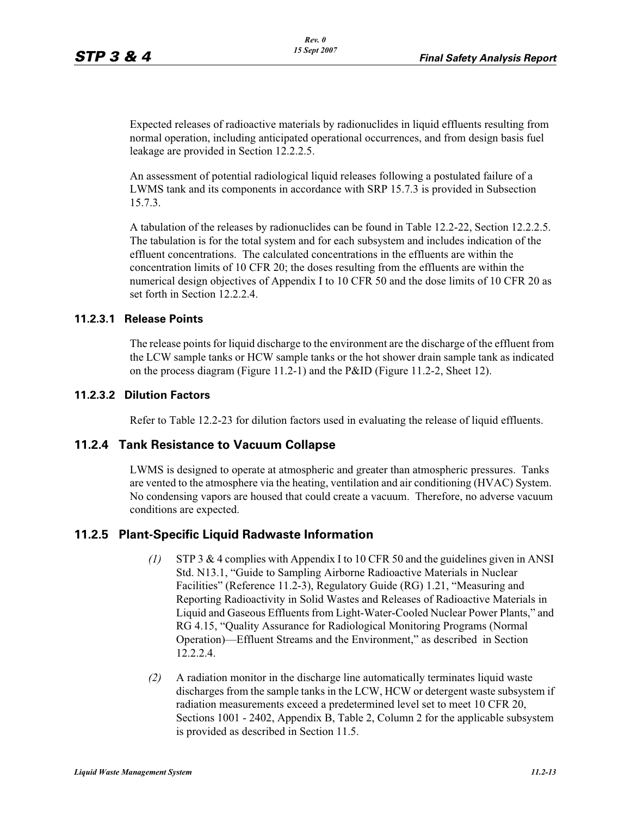Expected releases of radioactive materials by radionuclides in liquid effluents resulting from normal operation, including anticipated operational occurrences, and from design basis fuel leakage are provided in Section 12.2.2.5.

An assessment of potential radiological liquid releases following a postulated failure of a LWMS tank and its components in accordance with SRP 15.7.3 is provided in Subsection 15.7.3.

A tabulation of the releases by radionuclides can be found in Table 12.2-22, Section 12.2.2.5. The tabulation is for the total system and for each subsystem and includes indication of the effluent concentrations. The calculated concentrations in the effluents are within the concentration limits of 10 CFR 20; the doses resulting from the effluents are within the numerical design objectives of Appendix I to 10 CFR 50 and the dose limits of 10 CFR 20 as set forth in Section 12.2.2.4.

#### **11.2.3.1 Release Points**

The release points for liquid discharge to the environment are the discharge of the effluent from the LCW sample tanks or HCW sample tanks or the hot shower drain sample tank as indicated on the process diagram (Figure 11.2-1) and the P&ID (Figure 11.2-2, Sheet 12).

#### **11.2.3.2 Dilution Factors**

Refer to Table 12.2-23 for dilution factors used in evaluating the release of liquid effluents.

### **11.2.4 Tank Resistance to Vacuum Collapse**

LWMS is designed to operate at atmospheric and greater than atmospheric pressures. Tanks are vented to the atmosphere via the heating, ventilation and air conditioning (HVAC) System. No condensing vapors are housed that could create a vacuum. Therefore, no adverse vacuum conditions are expected.

### **11.2.5 Plant-Specific Liquid Radwaste Information**

- *(1)* STP 3 & 4 complies with Appendix I to 10 CFR 50 and the guidelines given in ANSI Std. N13.1, "Guide to Sampling Airborne Radioactive Materials in Nuclear Facilities" (Reference 11.2-3), Regulatory Guide (RG) 1.21, "Measuring and Reporting Radioactivity in Solid Wastes and Releases of Radioactive Materials in Liquid and Gaseous Effluents from Light-Water-Cooled Nuclear Power Plants," and RG 4.15, "Quality Assurance for Radiological Monitoring Programs (Normal Operation)—Effluent Streams and the Environment," as described in Section 12.2.2.4.
- *(2)* A radiation monitor in the discharge line automatically terminates liquid waste discharges from the sample tanks in the LCW, HCW or detergent waste subsystem if radiation measurements exceed a predetermined level set to meet 10 CFR 20, Sections 1001 - 2402, Appendix B, Table 2, Column 2 for the applicable subsystem is provided as described in Section 11.5.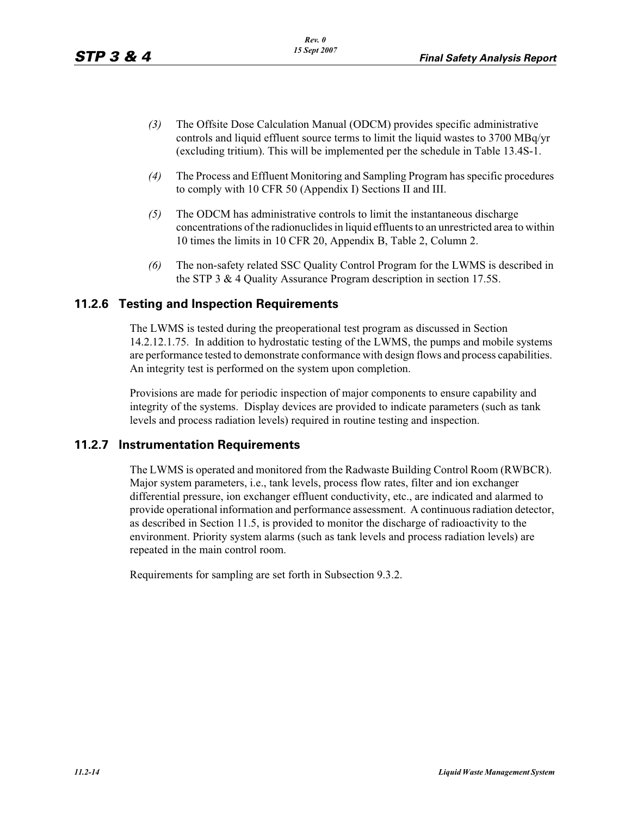- *(3)* The Offsite Dose Calculation Manual (ODCM) provides specific administrative controls and liquid effluent source terms to limit the liquid wastes to 3700 MBq/yr (excluding tritium). This will be implemented per the schedule in Table 13.4S-1.
- *(4)* The Process and Effluent Monitoring and Sampling Program has specific procedures to comply with 10 CFR 50 (Appendix I) Sections II and III.
- *(5)* The ODCM has administrative controls to limit the instantaneous discharge concentrations of the radionuclides in liquid effluents to an unrestricted area to within 10 times the limits in 10 CFR 20, Appendix B, Table 2, Column 2.
- *(6)* The non-safety related SSC Quality Control Program for the LWMS is described in the STP 3 & 4 Quality Assurance Program description in section 17.5S.

#### **11.2.6 Testing and Inspection Requirements**

The LWMS is tested during the preoperational test program as discussed in Section 14.2.12.1.75. In addition to hydrostatic testing of the LWMS, the pumps and mobile systems are performance tested to demonstrate conformance with design flows and process capabilities. An integrity test is performed on the system upon completion.

Provisions are made for periodic inspection of major components to ensure capability and integrity of the systems. Display devices are provided to indicate parameters (such as tank levels and process radiation levels) required in routine testing and inspection.

#### **11.2.7 Instrumentation Requirements**

The LWMS is operated and monitored from the Radwaste Building Control Room (RWBCR). Major system parameters, i.e., tank levels, process flow rates, filter and ion exchanger differential pressure, ion exchanger effluent conductivity, etc., are indicated and alarmed to provide operational information and performance assessment. A continuous radiation detector, as described in Section 11.5, is provided to monitor the discharge of radioactivity to the environment. Priority system alarms (such as tank levels and process radiation levels) are repeated in the main control room.

Requirements for sampling are set forth in Subsection 9.3.2.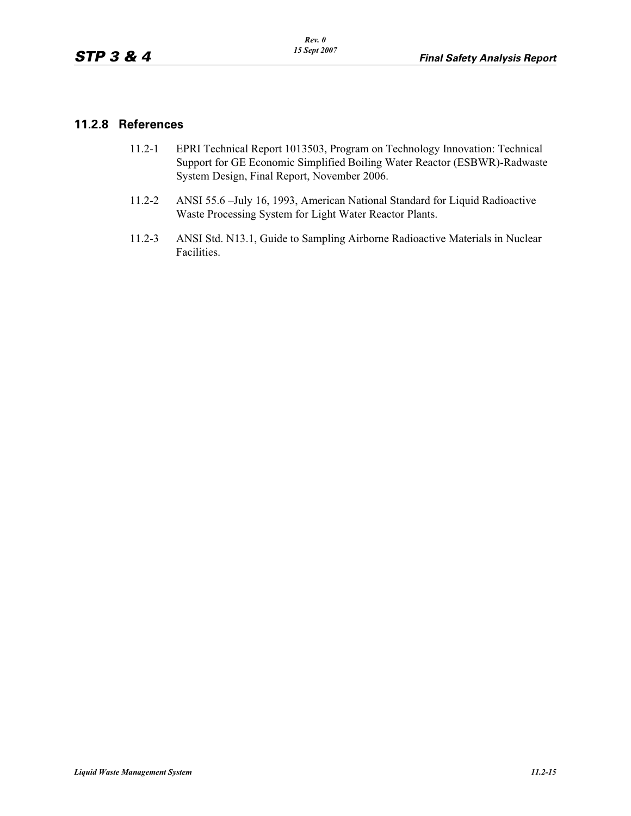## **11.2.8 References**

- 11.2-1 EPRI Technical Report 1013503, Program on Technology Innovation: Technical Support for GE Economic Simplified Boiling Water Reactor (ESBWR)-Radwaste System Design, Final Report, November 2006.
- 11.2-2 ANSI 55.6 –July 16, 1993, American National Standard for Liquid Radioactive Waste Processing System for Light Water Reactor Plants.
- 11.2-3 ANSI Std. N13.1, Guide to Sampling Airborne Radioactive Materials in Nuclear Facilities.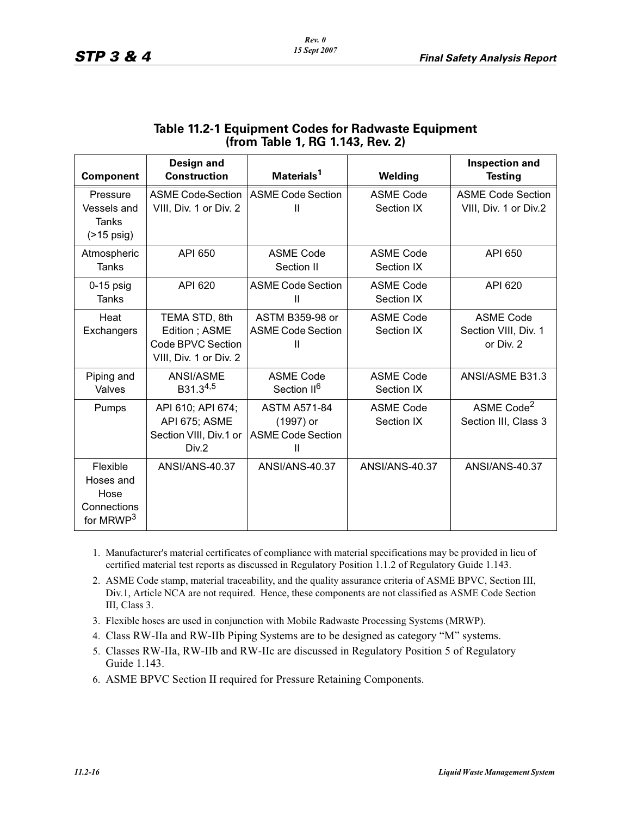| <b>Component</b>                                                      | <b>Design and</b><br><b>Construction</b>                                      | Materials <sup>1</sup>                                            | <b>Welding</b>                 | <b>Inspection and</b><br><b>Testing</b>               |
|-----------------------------------------------------------------------|-------------------------------------------------------------------------------|-------------------------------------------------------------------|--------------------------------|-------------------------------------------------------|
| Pressure<br>Vessels and<br><b>Tanks</b><br>$($ >15 psig)              | <b>ASME Code Section</b><br>VIII, Div. 1 or Div. 2                            | <b>ASME Code Section</b><br>Ш                                     | <b>ASME Code</b><br>Section IX | <b>ASME Code Section</b><br>VIII, Div. 1 or Div.2     |
| Atmospheric<br>Tanks                                                  | API 650                                                                       | <b>ASME Code</b><br>Section II                                    | <b>ASME Code</b><br>Section IX | API 650                                               |
| $0-15$ psig<br><b>Tanks</b>                                           | API 620                                                                       | <b>ASME Code Section</b><br>$\mathbf{H}$                          | <b>ASME Code</b><br>Section IX | API 620                                               |
| Heat<br>Exchangers                                                    | TEMA STD, 8th<br>Edition; ASME<br>Code BPVC Section<br>VIII, Div. 1 or Div. 2 | ASTM B359-98 or<br><b>ASME Code Section</b><br>Ш                  | <b>ASME Code</b><br>Section IX | <b>ASME Code</b><br>Section VIII, Div. 1<br>or Div. 2 |
| Piping and<br>Valves                                                  | ANSI/ASME<br>B31.34,5                                                         | <b>ASME Code</b><br>Section II <sup>6</sup>                       | <b>ASME Code</b><br>Section IX | ANSI/ASME B31.3                                       |
| Pumps                                                                 | API 610; API 674;<br>API 675; ASME<br>Section VIII, Div.1 or<br>Div.2         | <b>ASTM A571-84</b><br>(1997) or<br><b>ASME Code Section</b><br>Ш | <b>ASME Code</b><br>Section IX | ASME Code <sup>2</sup><br>Section III, Class 3        |
| Flexible<br>Hoses and<br>Hose<br>Connections<br>for MRWP <sup>3</sup> | <b>ANSI/ANS-40.37</b>                                                         | ANSI/ANS-40.37                                                    | ANSI/ANS-40.37                 | <b>ANSI/ANS-40.37</b>                                 |

# **Table 11.2-1 Equipment Codes for Radwaste Equipment (from Table 1, RG 1.143, Rev. 2)**

- 1. Manufacturer's material certificates of compliance with material specifications may be provided in lieu of certified material test reports as discussed in Regulatory Position 1.1.2 of Regulatory Guide 1.143.
- 2. ASME Code stamp, material traceability, and the quality assurance criteria of ASME BPVC, Section III, Div.1, Article NCA are not required. Hence, these components are not classified as ASME Code Section III, Class 3.
- 3. Flexible hoses are used in conjunction with Mobile Radwaste Processing Systems (MRWP).
- 4. Class RW-IIa and RW-IIb Piping Systems are to be designed as category "M" systems.
- 5. Classes RW-IIa, RW-IIb and RW-IIc are discussed in Regulatory Position 5 of Regulatory Guide 1.143.
- 6. ASME BPVC Section II required for Pressure Retaining Components.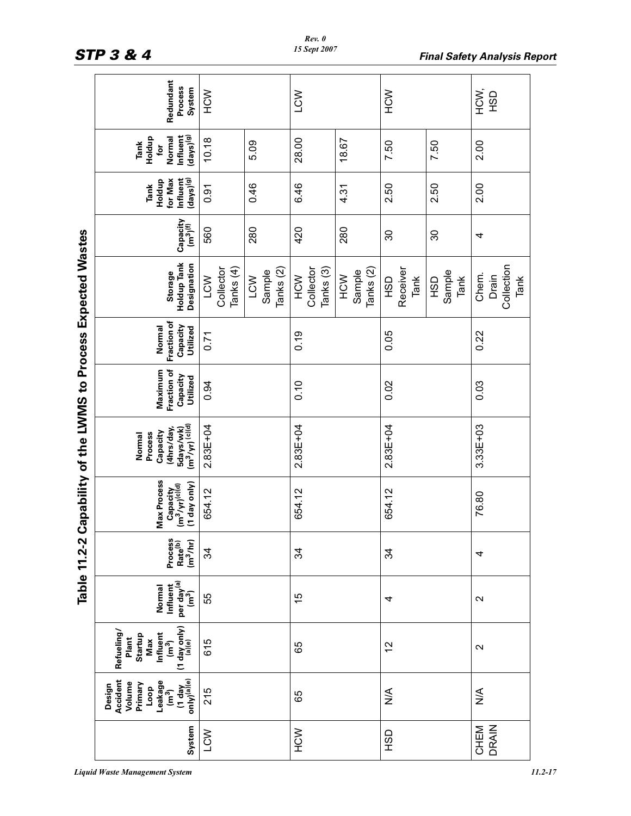|                                                   | Redundant<br>Process<br>System                                                                                              | NCN                           |                                       | LCW                                      |                            | NCM                            |                              | HCM;<br><b>GSH</b>                   |
|---------------------------------------------------|-----------------------------------------------------------------------------------------------------------------------------|-------------------------------|---------------------------------------|------------------------------------------|----------------------------|--------------------------------|------------------------------|--------------------------------------|
|                                                   | $(\mathsf{days})^{(\mathsf{g})}$<br>Influent<br>Holdup<br>Normal<br>Tank<br>tor                                             | 10.18                         | 5.09                                  | 28.00                                    | 18.67                      | 7.50                           | 7.50                         | 2.00                                 |
|                                                   | for Max<br>Influent<br>$(days)$ <sup>(g)</sup><br>Holdup<br>Tank                                                            | 0.91                          | 0.46                                  | 6.46                                     | 4.31                       | 2.50                           | 2.50                         | 2.00                                 |
|                                                   | Capacity<br>(m <sup>3</sup> ) <sup>(f)</sup>                                                                                | 560                           | 280                                   | 420                                      | 280                        | 30                             | 30                           | 4                                    |
| Capability of the LWMS to Process Expected Wastes | Holdup Tank<br>Designation<br>Storage                                                                                       | Collector<br>Tanks (4)<br>LCW | Tanks <sub>(2)</sub><br>Sample<br>LCW | Collector<br>Tanks <sub>(3)</sub><br>NCH | Tanks (2)<br>Sample<br>NCN | Receiver<br>Tank<br><b>GSH</b> | Sample<br>Tank<br><b>OSH</b> | Collection<br>Chem.<br>Drain<br>Tank |
|                                                   | Fraction of<br>Normal<br>Capacity<br>Utilized                                                                               | 0.71                          |                                       | 0.19                                     |                            | 0.05                           |                              | 0.22                                 |
|                                                   | Maximum<br>Fraction of<br>Capacity<br>Utilized                                                                              | 0.94                          |                                       | 0.10                                     |                            | 0.02                           |                              | 0.03                                 |
|                                                   | 5days/wk)<br>(m <sup>3</sup> /yr) <sup>(c)(d)</sup><br>(4hrs/day,<br>Capacity<br>Process<br>Normal                          | $2.83E + 04$                  |                                       | $2.83E + 04$                             |                            | $2.83E + 04$                   |                              | $3.33E + 03$                         |
|                                                   | Max Process<br>(1 day only)<br>Capacity<br>(m <sup>3</sup> /yr) <sup>(c)(d)</sup>                                           | 654.12                        |                                       | 654.12                                   |                            | 654.12                         |                              | 76.80                                |
| Table 11.2-2                                      | Process<br>Rate <sup>(b)</sup><br>(m <sup>3</sup> /hr)                                                                      | 34                            |                                       | 34                                       |                            | ನೆ                             |                              | 4                                    |
|                                                   | per day <sup>(a)</sup><br>$(m^3)$<br>Influent<br>Normal                                                                     | 55                            |                                       | 15                                       |                            | 4                              |                              | $\mathbf{\Omega}$                    |
|                                                   | $(1$ day only)<br>$\binom{[a](e)}{[a](e)}$<br>Refueling/<br>Influent<br>(m <sup>3</sup> )<br><b>Startup</b><br>Plant<br>Max | 615                           |                                       | 65                                       |                            | 57                             |                              | $\mathbf{\Omega}$                    |
|                                                   | (1 day<br>only) <sup>(a)(e)</sup><br>Accident<br>Leakage<br>Volume<br>Primary<br>Design<br>Loop<br>$\overline{m}^2$         | 215                           |                                       | 65                                       |                            | $\frac{4}{2}$                  |                              | $\frac{1}{2}$                        |
|                                                   | System                                                                                                                      | LCW                           |                                       | NCH                                      |                            | <b>GSH</b>                     |                              | <b>DRAIN</b><br>CHEM                 |

#### *Rev. 0 15 Sept 2007*

*Liquid Waste Management System 11.2-17*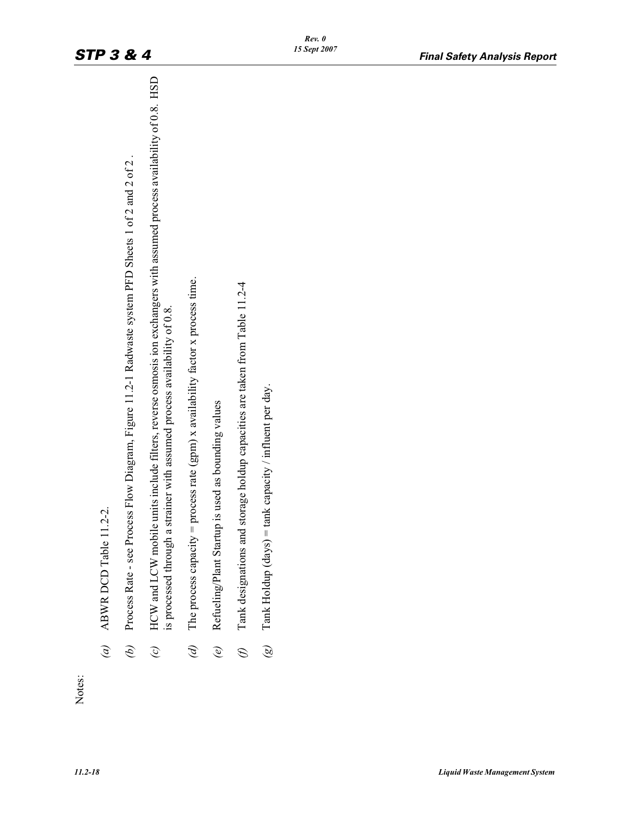| HCW and LCW mobile units include filters, reverse osmosis ion exchangers with assumed process availability of 0.8. HSD<br>is processed through a strainer with assumed process availability of 0.8. | The process capacity = process rate (gpm) x availability factor x process time. | Refueling/Plant Startup is used as bounding values | Tank designations and storage holdup capacities are taken from Table 11.2-4 | Tank Holdup (days) = tank capacity / influent per day. |  |
|-----------------------------------------------------------------------------------------------------------------------------------------------------------------------------------------------------|---------------------------------------------------------------------------------|----------------------------------------------------|-----------------------------------------------------------------------------|--------------------------------------------------------|--|
| $\mathcal{O}$                                                                                                                                                                                       |                                                                                 | $\bigcirc$                                         | $\mathcal{E}$                                                               | $\widehat{\mathscr{B}}$                                |  |
|                                                                                                                                                                                                     |                                                                                 |                                                    |                                                                             |                                                        |  |
|                                                                                                                                                                                                     |                                                                                 | $\mathscr{D}$                                      |                                                                             |                                                        |  |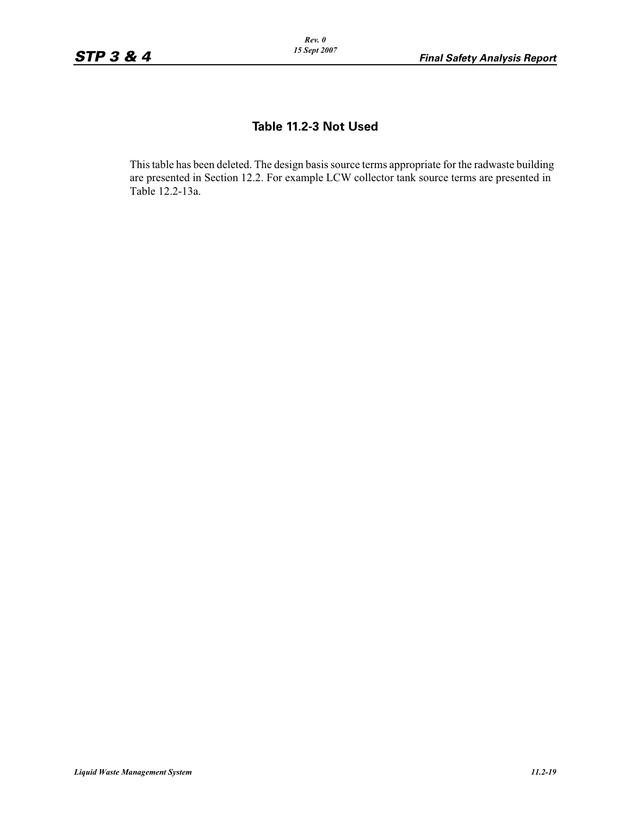# **Table 11.2-3 Not Used**

This table has been deleted. The design basis source terms appropriate for the radwaste building are presented in Section 12.2. For example LCW collector tank source terms are presented in Table 12.2-13a.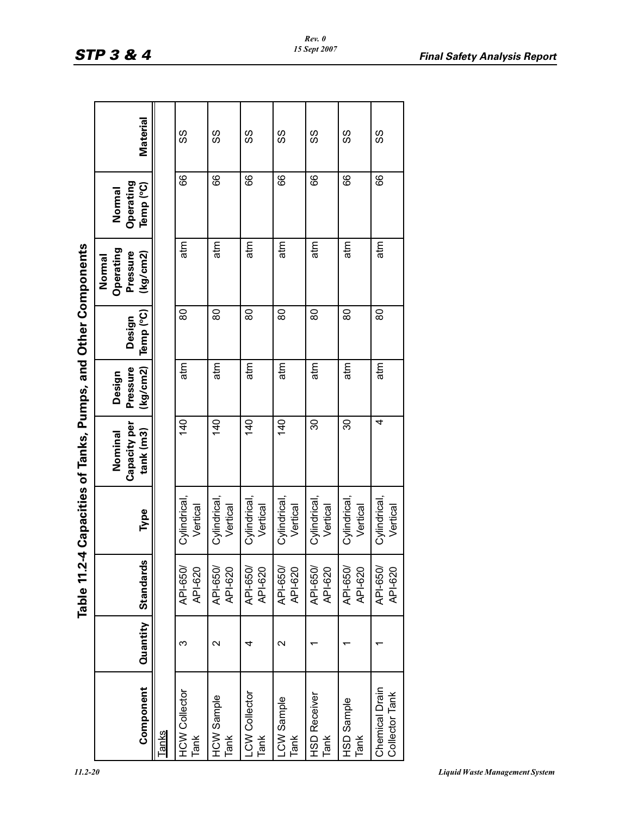| × |  |  |
|---|--|--|

|                                            |                   |                     |                          | Table 11.2-4 Capacities of Tanks, Pumps, and Other Components |                                |                     |                                             |                                  |          |  |
|--------------------------------------------|-------------------|---------------------|--------------------------|---------------------------------------------------------------|--------------------------------|---------------------|---------------------------------------------|----------------------------------|----------|--|
| Component                                  | Quantity          | <b>Standards</b>    | Type                     | Capacity per<br>tank (m3)<br>Nominal                          | (kg/cm2)<br>Pressure<br>Design | Temp (°C)<br>Design | Operating<br>Pressure<br>(kg/cm2)<br>Normal | Operating<br>Temp (°C)<br>Normal | Material |  |
| Tanks                                      |                   |                     |                          |                                                               |                                |                     |                                             |                                  |          |  |
| <b>HCW Collector</b><br>Tank               | ო                 | API-650/<br>API-620 | Cylindrical,<br>Vertical | 140                                                           | atm                            | 80                  | atm                                         | 89                               | SS       |  |
| <b>HCW Sample</b><br>Tank                  | $\mathbf{\Omega}$ | API-650/<br>API-620 | Cylindrical,<br>Vertical | 140                                                           | atm                            | 80                  | atm                                         | 89                               | SS       |  |
| -CW Collector<br>Tank                      | 4                 | API-650/<br>API-620 | Cylindrical,<br>Vertical | 140                                                           | atm                            | 80                  | atm                                         | 89                               | ပ္ပ      |  |
| -CW Sample<br>TanK                         | $\mathbf{\sim}$   | API-650/<br>API-620 | Cylindrical,<br>Vertical | $\frac{40}{5}$                                                | atm                            | 80                  | atm                                         | 89                               | SS       |  |
| <b>HSD Receiver</b><br>Tank                |                   | API-650/<br>API-620 | Cylindrical,<br>Vertical | 30                                                            | atm                            | 80                  | atm                                         | 89                               | SS       |  |
| HSD Sample<br>Tank                         |                   | API-650/<br>API-620 | Cylindrical,<br>Vertical | 30                                                            | atm                            | 80                  | atm                                         | 89                               | လွ       |  |
| <b>Chemical Drain</b><br>Collector<br>Tank |                   | API-650/<br>API-620 | Cylindrical,<br>Vertical | 4                                                             | atm                            | 80                  | atm                                         | 66                               | SS       |  |

*Rev. 0 15 Sept 2007*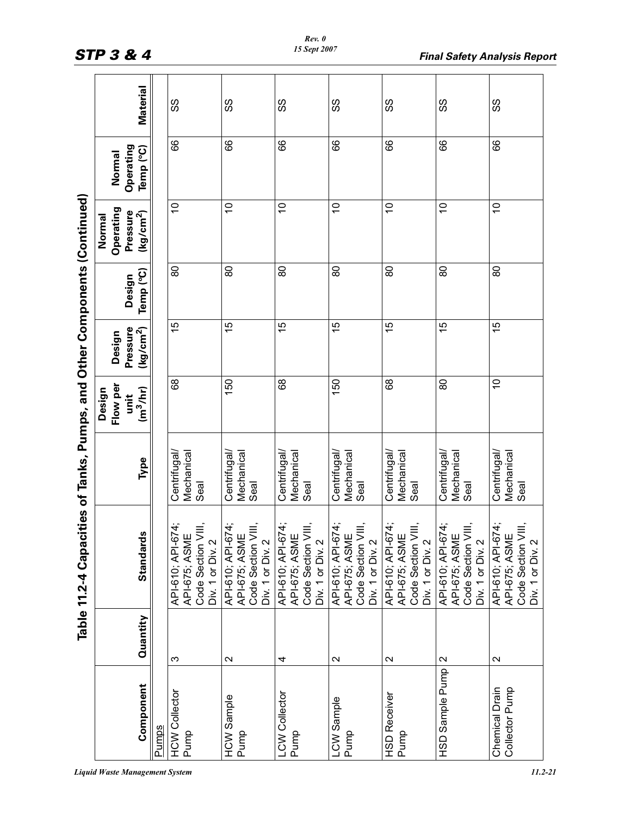|                                                                           |                     | <b>Material</b>                   |       | SS                                                                           | SS                                                                          | SS                                                                           | SS                                                                           | SS                                                                          | SS                                                                           | ပ္ပ                                                                         |
|---------------------------------------------------------------------------|---------------------|-----------------------------------|-------|------------------------------------------------------------------------------|-----------------------------------------------------------------------------|------------------------------------------------------------------------------|------------------------------------------------------------------------------|-----------------------------------------------------------------------------|------------------------------------------------------------------------------|-----------------------------------------------------------------------------|
|                                                                           | Normal              | Operating<br>Temp (°C)            |       | 89                                                                           | 89                                                                          | 89                                                                           | 89                                                                           | 89                                                                          | 89                                                                           | 89                                                                          |
|                                                                           | Operating<br>Normal | Pressure<br>(kg/cm <sup>2</sup> ) |       | $\tilde{c}$                                                                  | $\overline{0}$                                                              | $\tilde{c}$                                                                  | $\overline{0}$                                                               | $\frac{1}{2}$                                                               | $\overline{C}$                                                               | $\overline{C}$                                                              |
|                                                                           |                     | Temp (°C)<br>Design               |       | 80                                                                           | 80                                                                          | 80                                                                           | 80                                                                           | 80                                                                          | 80                                                                           | 80                                                                          |
|                                                                           | Design              | Pressure<br>(kg/cm <sup>2</sup> ) |       | 15                                                                           | 15                                                                          | 15                                                                           | 15                                                                           | 15                                                                          | 15                                                                           | 15                                                                          |
|                                                                           | Flow per<br>Design  | (m <sup>3</sup> /hr)<br>unit      |       | 89                                                                           | 150                                                                         | 89                                                                           | 150                                                                          | 89                                                                          | 80                                                                           | S                                                                           |
|                                                                           |                     | Type                              |       | Centrifugal<br>Mechanical<br>Seal                                            | Centrifugal/<br>Mechanical<br>Seal                                          | Centrifugal<br>Mechanical<br>Seal                                            | Centrifugal/<br>Mechanical<br>Seal                                           | Centrifugal<br>Mechanical<br>Seal                                           | Centrifugal<br>Mechanical<br>Seal                                            | Centrifugal<br>Mechanical<br>Seal                                           |
| Table 11.2-4 Capacities of Tanks, Pumps, and Other Components (Continued) |                     | S<br>Standard                     |       | API-610; API-674;<br>Code Section VIII,<br>Div. 1 or Div. 2<br>API-675; ASMI | API-610; API-674;<br>Code Section VIII<br>API-675; ASME<br>Div. 1 or Div. 2 | API-610; API-674;<br>Code Section VIII,<br>API-675; ASME<br>Div. 1 or Div. 2 | API-610; API-674;<br>API-675; ASME<br>Code Section VIII,<br>Div. 1 or Div. 2 | API-610; API-674;<br>Code Section VIII<br>API-675; ASME<br>Div. 1 or Div. 2 | API-610; API-674;<br>Code Section VIII,<br>API-675; ASME<br>Div. 1 or Div. 2 | API-610; API-674;<br>API-675; ASME<br>Code Section VIII<br>Div. 1 or Div. 2 |
|                                                                           |                     | Quantity                          |       | ς                                                                            | $\mathbf{\Omega}$                                                           | 4                                                                            | $\sim$                                                                       | $\mathbf{\Omega}$                                                           | 2                                                                            | $\sim$                                                                      |
|                                                                           |                     | Component                         | Pumps | <b>HCW Collector</b><br>Pump                                                 | <b>HCW Sample</b><br>Pump                                                   | LCW Collector<br>Pump                                                        | LCW Sample<br>Pump                                                           | <b>HSD Receiver</b><br>Pump                                                 | HSD Sample Pump                                                              | Chemical Drain<br>Collector Pump                                            |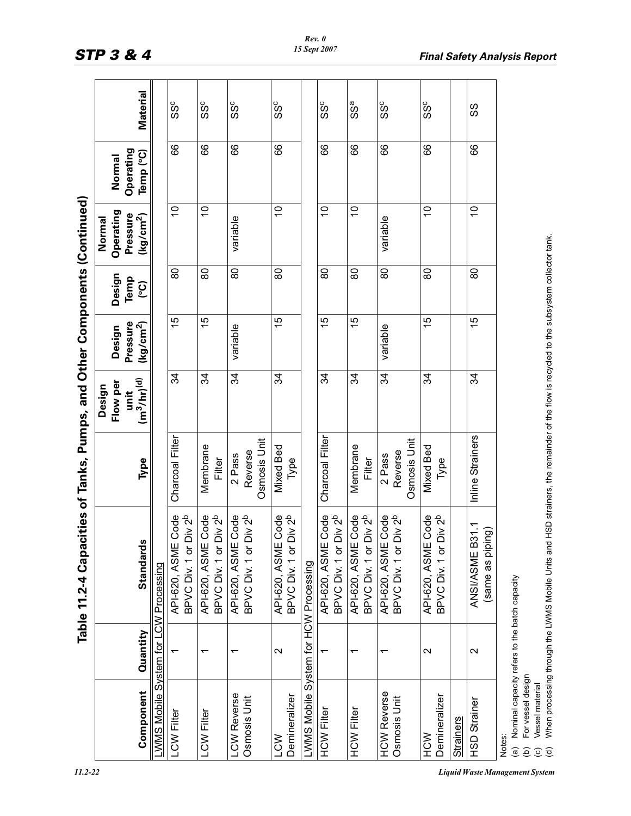|                                                                                                                                                       |                   | Table 11.2-4 Capa                                                                                                                       | cities of Tanks, Pumps, and Other Components (Continued) |                  |                       |                |                       |                     |          |
|-------------------------------------------------------------------------------------------------------------------------------------------------------|-------------------|-----------------------------------------------------------------------------------------------------------------------------------------|----------------------------------------------------------|------------------|-----------------------|----------------|-----------------------|---------------------|----------|
|                                                                                                                                                       |                   |                                                                                                                                         |                                                          | Design           |                       |                | Normal                |                     |          |
|                                                                                                                                                       |                   |                                                                                                                                         |                                                          | Flow per<br>unit | Pressure<br>Design    | Design<br>Temp | Operating<br>Pressure | Operating<br>Normal |          |
| Component                                                                                                                                             | Quantity          | <b>Standards</b>                                                                                                                        | Type                                                     | $(m^3/hr)^{(d)}$ | (kg/cm <sup>2</sup> ) | <u>ငွ</u>      | (kg/cm <sup>2</sup> ) | Temp (°C)           | Material |
| LWMS Mobile System for                                                                                                                                |                   | CW Processing                                                                                                                           |                                                          |                  |                       |                |                       |                     |          |
| <b>LCW Filter</b>                                                                                                                                     |                   | API-620, ASME Code<br>BPVC Div. 1 or Div 2 <sup>b</sup>                                                                                 | Charcoal Filter                                          | र्द्र            | 15                    | 8              | $\tilde{0}$           | 89                  | ပိတ      |
| <b>LCW Filter</b>                                                                                                                                     |                   | BPVC Div. 1 or Div 2 <sup>b</sup><br>API-620, ASME Code                                                                                 | Membrane<br>Filter                                       | 34               | 15                    | 80             | $\tilde{0}$           | 89                  | ပိတ      |
| LCW Reverse<br>Osmosis Unit                                                                                                                           | ᡪ                 | BPVC Div. 1 or Div 2 <sup>b</sup><br>API-620, ASME Code                                                                                 | Osmosis Unit<br>Reverse<br>2 Pass                        | 34               | variable              | 80             | variable              | 66                  | ပိတ်     |
| Demineralizer<br><b>NCT</b>                                                                                                                           | $\sim$            | Code<br>Div 2 <sup>b</sup><br>API-620, ASME<br>BPVC Div. 1 or                                                                           | <b>Mixed Bed</b><br>Type                                 | 34               | 15                    | 80             | $\tilde{=}$           | 66                  | ဒိဒိ     |
| LWMS Mobile System for HCW Processing                                                                                                                 |                   |                                                                                                                                         |                                                          |                  |                       |                |                       |                     |          |
| <b>HCW Filter</b>                                                                                                                                     |                   | BPVC Div. 1 or Div 2 <sup>b</sup><br>Code<br>API-620, ASME                                                                              | Charcoal Filter                                          | र्द्र            | 15                    | 8              | $\overline{0}$        | 8                   | ဒိဒိ     |
| <b>HCW Filter</b>                                                                                                                                     |                   | BPVC Div. 1 or Div 2 <sup>b</sup><br>Code<br>API-620, ASME                                                                              | Membrane<br>Filter                                       | र्द्र            | 15                    | 80             | $\overline{C}$        | 88                  | SSa      |
| <b>HCW Reverse</b><br>Osmosis Unit                                                                                                                    |                   | API-620, ASME Code<br>Div 2 <sup>b</sup><br>BPVC Div. 1 or                                                                              | Osmosis Unit<br>Reverse<br>2 Pass                        | 34               | variable              | 80             | variable              | 89                  | ပိတ      |
| Demineralizer<br>HCW                                                                                                                                  | $\mathbf{\Omega}$ | Div 2 <sup>b</sup><br>Code<br>API-620, ASME<br>BPVC Div. 1 or                                                                           | <b>Mixed Bed</b><br>Type                                 | 34               | 15                    | 80             | $\tilde{0}$           | 89                  | SSc      |
| <b>Strainers</b>                                                                                                                                      |                   |                                                                                                                                         |                                                          |                  |                       |                |                       |                     |          |
| <b>HSD Strainer</b>                                                                                                                                   | $\mathbf{\Omega}$ | ANSI/ASME B31.1<br>(same as piping)                                                                                                     | Inline Strainers                                         | 34               | 15                    | 80             | $\tilde{c}$           | 89                  | SS       |
| (a) Nominal capacity refers to the batch capacity<br>For vessel design<br>Vessel material<br>Notes:<br>$\widehat{\sigma}$<br>$\widehat{e}$<br>$\odot$ |                   | When processing through the LWMS Mobile Units and HSD strainers, the remainder of the flow is recycled to the subsystem collector tank. |                                                          |                  |                       |                |                       |                     |          |
|                                                                                                                                                       |                   |                                                                                                                                         |                                                          |                  |                       |                |                       |                     |          |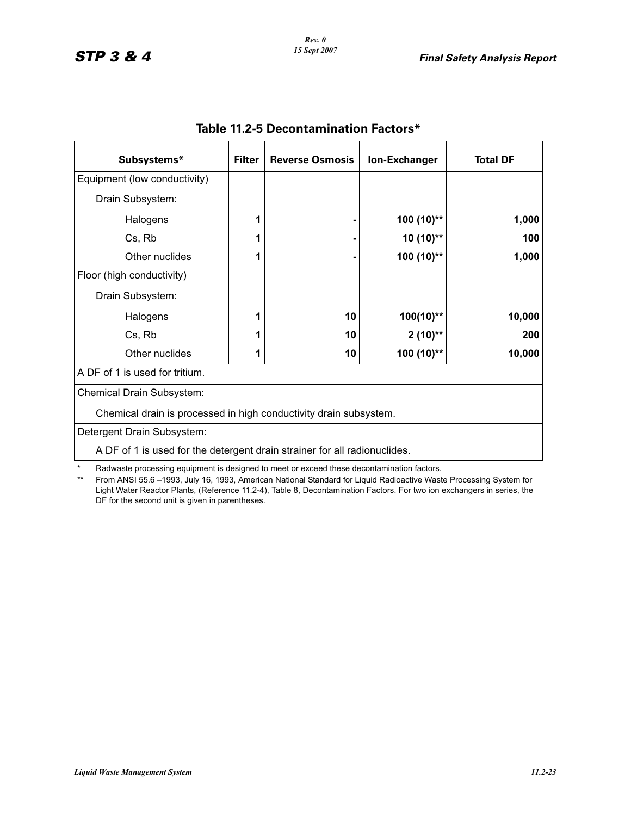| Subsystems*                                                               | <b>Filter</b> | <b>Reverse Osmosis</b> | <b>Ion-Exchanger</b> | <b>Total DF</b> |
|---------------------------------------------------------------------------|---------------|------------------------|----------------------|-----------------|
| Equipment (low conductivity)                                              |               |                        |                      |                 |
| Drain Subsystem:                                                          |               |                        |                      |                 |
| Halogens                                                                  |               |                        | 100 (10)**           | 1,000           |
| Cs, Rb                                                                    |               |                        | $10(10)*$            | 100             |
| Other nuclides                                                            |               |                        | $100(10)$ **         | 1,000           |
| Floor (high conductivity)                                                 |               |                        |                      |                 |
| Drain Subsystem:                                                          |               |                        |                      |                 |
| Halogens                                                                  |               | 10                     | $100(10)$ **         | 10,000          |
| Cs, Rb                                                                    |               | 10                     | $2(10)$ **           | 200             |
| Other nuclides                                                            |               | 10                     | $100(10)$ **         | 10,000          |
| A DF of 1 is used for tritium.                                            |               |                        |                      |                 |
| Chemical Drain Subsystem:                                                 |               |                        |                      |                 |
| Chemical drain is processed in high conductivity drain subsystem.         |               |                        |                      |                 |
| Detergent Drain Subsystem:                                                |               |                        |                      |                 |
| A DF of 1 is used for the detergent drain strainer for all radionuclides. |               |                        |                      |                 |

# **Table 11.2-5 Decontamination Factors\***

\* Radwaste processing equipment is designed to meet or exceed these decontamination factors.<br>\*\* From ANSL55.6-1993 July 16, 1993. American National Standard for Liquid Radioactive Wast

From ANSI 55.6 –1993, July 16, 1993, American National Standard for Liquid Radioactive Waste Processing System for Light Water Reactor Plants, (Reference 11.2-4), Table 8, Decontamination Factors. For two ion exchangers in series, the DF for the second unit is given in parentheses.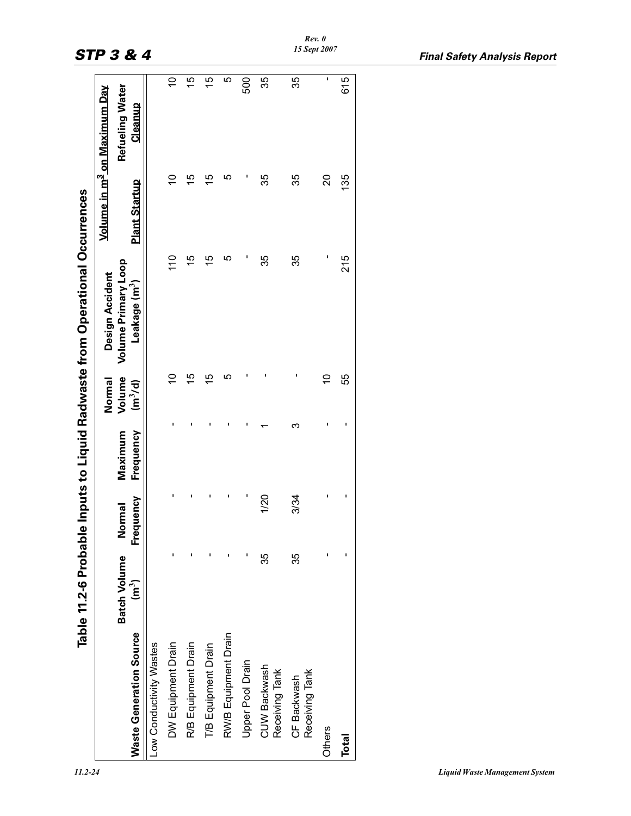|                                |                                                  |                         |                      | Normal                        | <b>Design Accident</b>                                  |                          | Volume in m <sup>3</sup> on Maximum Dav |
|--------------------------------|--------------------------------------------------|-------------------------|----------------------|-------------------------------|---------------------------------------------------------|--------------------------|-----------------------------------------|
| <b>Waste Generation Source</b> | <b>Batch Volume</b><br>$\overline{\mathsf{m}}^3$ | Frequency<br>ormal<br>Ź | Frequency<br>Maximum | Volume<br>(m <sup>3</sup> /d) | <b>Volume Primary Loop</b><br>Leakage (m <sup>3</sup> ) | <b>Plant Startup</b>     | Refueling Water<br>Cleanup              |
| Low Conductivity Wastes        |                                                  |                         |                      |                               |                                                         |                          |                                         |
| DW Equipment Drain             |                                                  |                         |                      | 9                             | 110                                                     |                          | $\overline{C}$                          |
| R/B Equipment Drain            |                                                  |                         |                      | 15                            | 15                                                      | 15                       | 15                                      |
| T/B Equipment Drain            |                                                  |                         |                      | $\overline{5}$                | 15                                                      | $\overline{5}$           | 15                                      |
| RW/B Equipment Drain           |                                                  |                         |                      | ιဂ                            | ιΩ                                                      | ഥ                        | ഥ                                       |
| Upper Pool Drain               |                                                  |                         |                      |                               |                                                         | I                        | 500                                     |
| CUW Backwash<br>Receiving Tank | 35                                               | 1/20                    |                      |                               | 35                                                      | 35                       | 35                                      |
| Receiving Tank<br>CF Backwash  | 35                                               | 3/34                    | ო                    |                               | 35                                                      | 35                       | 35                                      |
| Others                         |                                                  |                         |                      | $\overline{C}$                |                                                         | $\overline{\mathcal{S}}$ | ı                                       |
| Total                          |                                                  |                         |                      | 55                            | 215                                                     | 135                      | 615                                     |
|                                |                                                  |                         |                      |                               |                                                         |                          |                                         |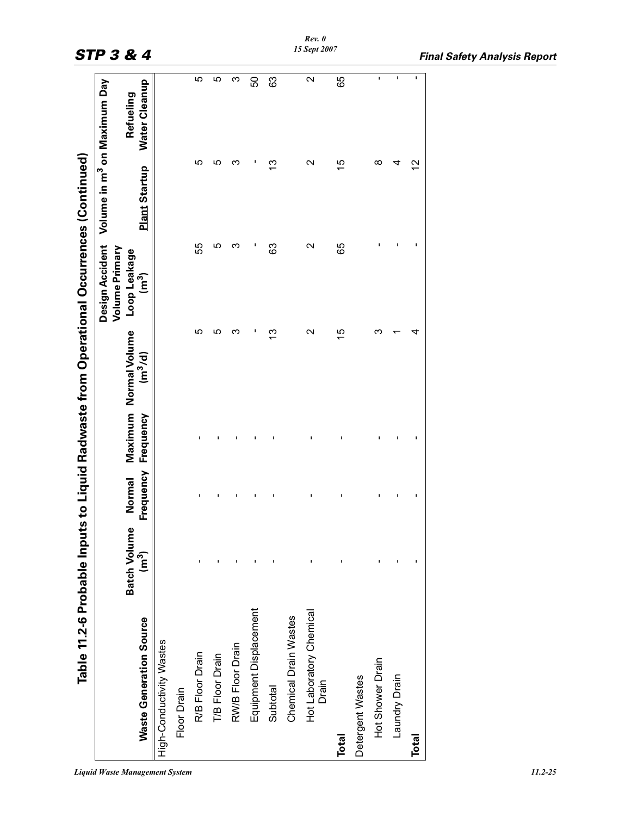|                                  |                             |                     |           |                                              | Table 11.2-6 Probable Inputs to Liquid Radwaste from Operational Occurrences (Continued) |                      |                                         |
|----------------------------------|-----------------------------|---------------------|-----------|----------------------------------------------|------------------------------------------------------------------------------------------|----------------------|-----------------------------------------|
|                                  |                             |                     |           |                                              | Design Accident<br>Volume Primary                                                        |                      | Volume in m <sup>3</sup> on Maximum Day |
| <b>Waste Generation Source</b>   | <b>Batch Volume</b><br>(ควั | Frequency<br>Normal | Frequency | Maximum Normal Volume<br>(m <sup>3</sup> /d) | Loop Leakage<br>$(\mathbf{m}^3)$                                                         | <b>Plant Startup</b> | Water Cleanup<br>Refueling              |
| High-Conductivity Wastes         |                             |                     |           |                                              |                                                                                          |                      |                                         |
| Floor Drain                      |                             |                     |           |                                              |                                                                                          |                      |                                         |
| R/B Floor Drain                  |                             | ı                   |           | မာ                                           | 55                                                                                       | က                    | 5                                       |
| T/B Floor Drain                  |                             |                     |           | <u>က</u>                                     | ഥ                                                                                        | ഥ                    | ပ                                       |
| RW/B Floor Drain                 |                             |                     |           |                                              | ო                                                                                        | ო                    | ო                                       |
| Equipment Displacement           |                             |                     |           |                                              |                                                                                          |                      | 50                                      |
| Subtotal                         |                             | I                   |           | 3                                            | 3                                                                                        | ౖ                    | 3                                       |
| Chemical Drain Wastes            |                             |                     |           |                                              |                                                                                          |                      |                                         |
| Hot Laboratory Chemical<br>Drain |                             |                     |           | N                                            | N                                                                                        | N                    | Ν                                       |
| Total                            |                             | ı                   |           | 15                                           | 65                                                                                       | 15                   | 65                                      |
| Detergent Wastes                 |                             |                     |           |                                              |                                                                                          |                      |                                         |
| Hot Shower Drain                 |                             |                     |           |                                              |                                                                                          | ∞                    | ı                                       |
| Laundry Drain                    |                             |                     |           |                                              |                                                                                          |                      |                                         |
| Total                            |                             |                     |           |                                              |                                                                                          | $\mathbf{\Omega}$    |                                         |
|                                  |                             |                     |           |                                              |                                                                                          |                      |                                         |

#### *Liquid Waste Management System 11.2-25*